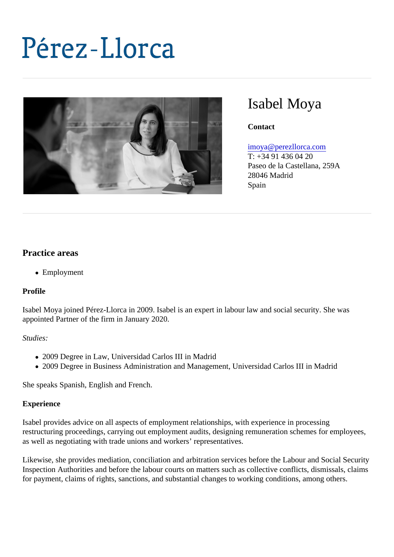# Isabel Moya

**Contact** 

### [imoya@perezllorca.co](mailto:imoya@perezllorca.com)m

T: +34 91 436 04 20 Paseo de la Castellana, 259A 28046 Madrid Spain

## Practice areas

Employment

Profile

Isabel Moya joined Pérez-Llorca in 2009. Isabel is an expert in labour law and social security. She was appointed Partner of the firm in January 2020.

Studies:

- 2009 Degree in Law, Universidad Carlos III in Madrid
- 2009 Degree in Business Administration and Management, Universidad Carlos III in Madrid

She speaks Spanish, English and French.

## **Experience**

Isabel provides advice on all aspects of employment relationships, with experience in processing restructuring proceedings, carrying out employment audits, designing remuneration schemes for employee as well as negotiating with trade unions and workers' representatives.

Likewise, she provides mediation, conciliation and arbitration services before the Labour and Social Secur Inspection Authorities and before the labour courts on matters such as collective conflicts, dismissals, claim for payment, claims of rights, sanctions, and substantial changes to working conditions, among others.